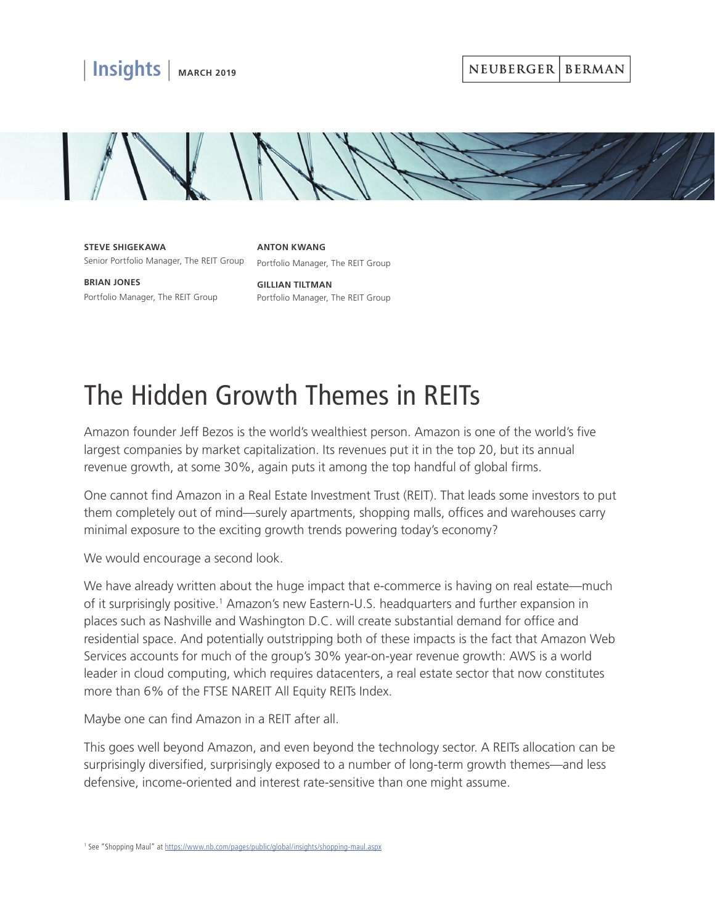

NEUBERGER BERMAN



**STEVE SHIGEKAWA** Senior Portfolio Manager, The REIT Group Portfolio Manager, The REIT Group

**ANTON KWANG**

**BRIAN JONES** Portfolio Manager, The REIT Group

**GILLIAN TILTMAN** Portfolio Manager, The REIT Group

## The Hidden Growth Themes in REITs

Amazon founder Jeff Bezos is the world's wealthiest person. Amazon is one of the world's five largest companies by market capitalization. Its revenues put it in the top 20, but its annual revenue growth, at some 30%, again puts it among the top handful of global firms.

One cannot find Amazon in a Real Estate Investment Trust (REIT). That leads some investors to put them completely out of mind—surely apartments, shopping malls, offices and warehouses carry minimal exposure to the exciting growth trends powering today's economy?

We would encourage a second look.

We have already written about the huge impact that e-commerce is having on real estate—much of it surprisingly positive.<sup>1</sup> Amazon's new Eastern-U.S. headquarters and further expansion in places such as Nashville and Washington D.C. will create substantial demand for office and residential space. And potentially outstripping both of these impacts is the fact that Amazon Web Services accounts for much of the group's 30% year-on-year revenue growth: AWS is a world leader in cloud computing, which requires datacenters, a real estate sector that now constitutes more than 6% of the FTSE NAREIT All Equity REITs Index.

Maybe one can find Amazon in a REIT after all.

This goes well beyond Amazon, and even beyond the technology sector. A REITs allocation can be surprisingly diversified, surprisingly exposed to a number of long-term growth themes—and less defensive, income-oriented and interest rate-sensitive than one might assume.

<sup>&</sup>lt;sup>1</sup> See "Shopping Maul" at<https://www.nb.com/pages/public/global/insights/shopping-maul.aspx>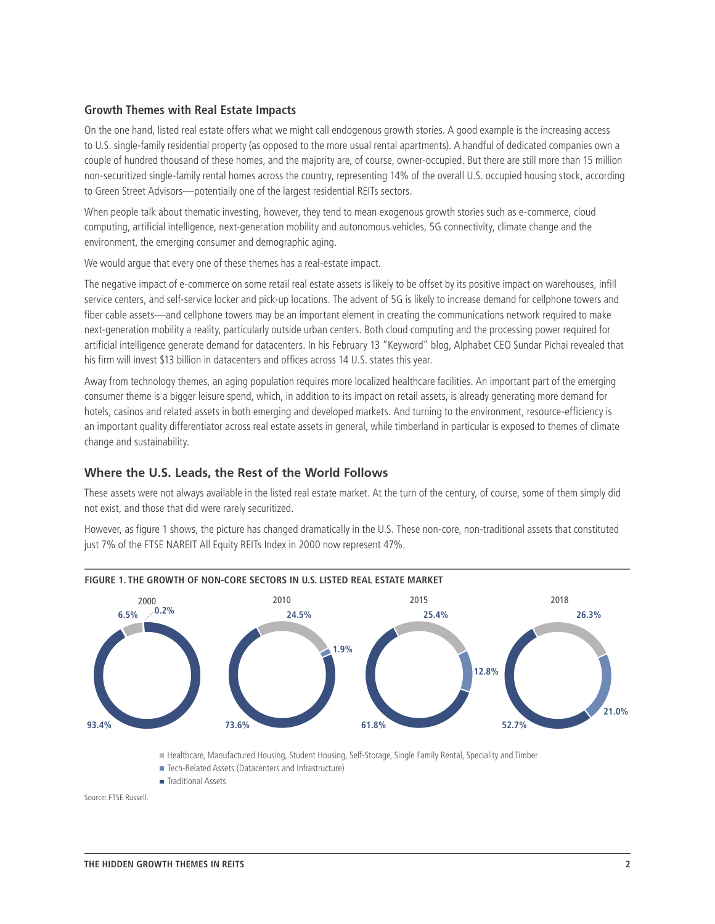## **Growth Themes with Real Estate Impacts**

On the one hand, listed real estate offers what we might call endogenous growth stories. A good example is the increasing access to U.S. single-family residential property (as opposed to the more usual rental apartments). A handful of dedicated companies own a couple of hundred thousand of these homes, and the majority are, of course, owner-occupied. But there are still more than 15 million non-securitized single-family rental homes across the country, representing 14% of the overall U.S. occupied housing stock, according to Green Street Advisors—potentially one of the largest residential REITs sectors.

When people talk about thematic investing, however, they tend to mean exogenous growth stories such as e-commerce, cloud computing, artificial intelligence, next-generation mobility and autonomous vehicles, 5G connectivity, climate change and the environment, the emerging consumer and demographic aging.

We would argue that every one of these themes has a real-estate impact.

The negative impact of e-commerce on some retail real estate assets is likely to be offset by its positive impact on warehouses, infill service centers, and self-service locker and pick-up locations. The advent of 5G is likely to increase demand for cellphone towers and fiber cable assets—and cellphone towers may be an important element in creating the communications network required to make next-generation mobility a reality, particularly outside urban centers. Both cloud computing and the processing power required for artificial intelligence generate demand for datacenters. In his February 13 "Keyword" blog, Alphabet CEO Sundar Pichai revealed that his firm will invest \$13 billion in datacenters and offices across 14 U.S. states this year.

Away from technology themes, an aging population requires more localized healthcare facilities. An important part of the emerging consumer theme is a bigger leisure spend, which, in addition to its impact on retail assets, is already generating more demand for hotels, casinos and related assets in both emerging and developed markets. And turning to the environment, resource-efficiency is an important quality differentiator across real estate assets in general, while timberland in particular is exposed to themes of climate change and sustainability.

## **Where the U.S. Leads, the Rest of the World Follows**

These assets were not always available in the listed real estate market. At the turn of the century, of course, some of them simply did not exist, and those that did were rarely securitized.

However, as figure 1 shows, the picture has changed dramatically in the U.S. These non-core, non-traditional assets that constituted just 7% of the FTSE NAREIT All Equity REITs Index in 2000 now represent 47%.



Healthcare, Manufactured Housing, Student Housing, Self-Storage, Single Family Rental, Speciality and Timber

- Tech-Related Assets (Datacenters and Infrastructure)
- Traditional Assets

```
Source: FTSE Russell.
```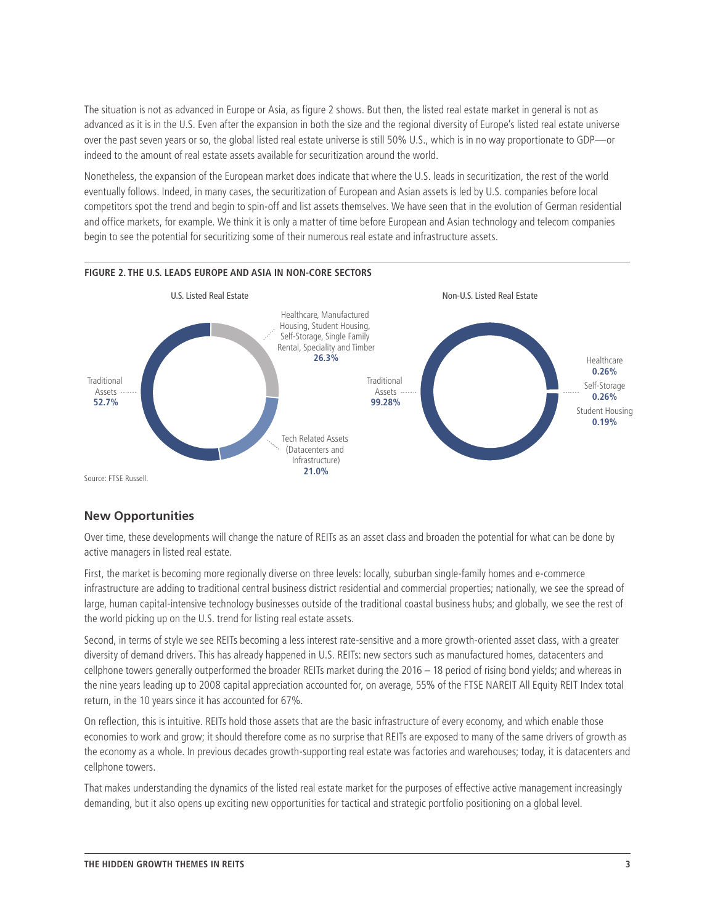The situation is not as advanced in Europe or Asia, as figure 2 shows. But then, the listed real estate market in general is not as advanced as it is in the U.S. Even after the expansion in [both the size and the regional diversity of Europe's listed real estate universe](https://www.nb.com/_layouts/www/nberror.aspx?errorcode=4000) over the past seven years or so, the global listed real estate universe is still 50% U.S., which is in no way proportionate to GDP—or indeed to the amount of real estate assets available for securitization around the world.

Nonetheless, the expansion of the European market does indicate that where the U.S. leads in securitization, the rest of the world eventually follows. Indeed, in many cases, the securitization of European and Asian assets is led by U.S. companies before local competitors spot the trend and begin to spin-off and list assets themselves. We have seen that in the evolution of German residential and office markets, for example. We think it is only a matter of time before European and Asian technology and telecom companies begin to see the potential for securitizing some of their numerous real estate and infrastructure assets.



Source: FTSE Russell.

## **New Opportunities**

Over time, these developments will change the nature of REITs as an asset class and broaden the potential for what can be done by active managers in listed real estate.

First, the market is becoming more regionally diverse on three levels: locally, suburban single-family homes and e-commerce infrastructure are adding to traditional central business district residential and commercial properties; nationally, we see the spread of large, human capital-intensive technology businesses outside of the traditional coastal business hubs; and globally, we see the rest of the world picking up on the U.S. trend for listing real estate assets.

Second, in terms of style we see REITs becoming a less interest rate-sensitive and a more growth-oriented asset class, with a greater diversity of demand drivers. This has already happened in U.S. REITs: new sectors such as manufactured homes, datacenters and cellphone towers generally outperformed the broader REITs market during the 2016 – 18 period of rising bond yields; and whereas in the nine years leading up to 2008 capital appreciation accounted for, on average, 55% of the FTSE NAREIT All Equity REIT Index total return, in the 10 years since it has accounted for 67%.

On reflection, this is intuitive. REITs hold those assets that are the basic infrastructure of every economy, and which enable those economies to work and grow; it should therefore come as no surprise that REITs are exposed to many of the same drivers of growth as the economy as a whole. In previous decades growth-supporting real estate was factories and warehouses; today, it is datacenters and cellphone towers.

That makes understanding the dynamics of the listed real estate market for the purposes of effective active management increasingly demanding, but it also opens up exciting new opportunities for tactical and strategic portfolio positioning on a global level.